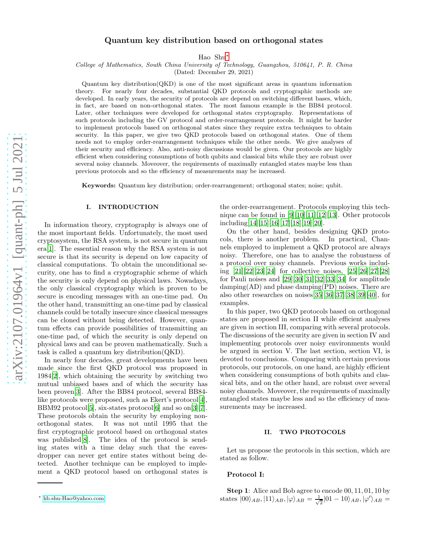# Quantum key distribution based on orthogonal states

Hao Shu[∗](#page-0-0)

College of Mathematics, South China University of Technology, Guangzhou, 510641, P. R. China

(Dated: December 29, 2021)

Quantum key distribution(QKD) is one of the most significant areas in quantum information theory. For nearly four decades, substantial QKD protocols and cryptographic methods are developed. In early years, the security of protocols are depend on switching different bases, which, in fact, are based on non-orthogonal states. The most famous example is the BB84 protocol. Later, other techniques were developed for orthogonal states cryptography. Representations of such protocols including the GV protocol and order-rearrangement protocols. It might be harder to implement protocols based on orthogonal states since they require extra techniques to obtain security. In this paper, we give two QKD protocols based on orthogonal states. One of them needs not to employ order-rearrangement techniques while the other needs. We give analyses of their security and efficiency. Also, anti-noisy discussions would be given. Our protocols are highly efficient when considering consumptions of both qubits and classical bits while they are robust over several noisy channels. Moveover, the requirements of maximally entangled states maybe less than previous protocols and so the efficiency of measurements may be increased.

Keywords: Quantum key distribution; order-rearrangement; orthogonal states; noise; qubit.

### I. INTRODUCTION

In information theory, cryptography is always one of the most important fields. Unfortunately, the most used cryptosystem, the RSA system, is not secure in quantum era[\[1\]](#page-7-0). The essential reason why the RSA system is not secure is that its security is depend on low capacity of classical computations. To obtain the unconditional security, one has to find a cryptographic scheme of which the security is only depend on physical laws. Nowadays, the only classical cryptography which is proven to be secure is encoding messages with an one-time pad. On the other hand, transmitting an one-time pad by classical channels could be totally insecure since classical messages can be cloned without being detected. However, quantum effects can provide possibilities of transmitting an one-time pad, of which the security is only depend on physical laws and can be proven mathematically. Such a task is called a quantum key distribution(QKD).

In nearly four decades, great developments have been made since the first QKD protocol was proposed in 1984[\[2\]](#page-7-1), which obtaining the security by switching two mutual unbiased bases and of which the security has been proven[\[3\]](#page-7-2). After the BB84 protocol, several BB84 like protocols were proposed, such as Ekert's protocol[\[4\]](#page-7-3), BBM92 protocol<sup>[\[5\]](#page-7-4)</sup>, six-states protocol<sup>[\[6\]](#page-7-5)</sup> and so on<sup>[\[3](#page-7-2)][\[7\]](#page-7-6)</sup>. These protocols obtain the security by employing nonorthogonal states. It was not until 1995 that the first cryptographic protocol based on orthogonal states was published[\[8\]](#page-7-7). The idea of the protocol is sending states with a time delay such that the eavesdropper can never get entire states without being detected. Another technique can be employed to implement a QKD protocol based on orthogonal states is

the order-rearrangement. Protocols employing this technique can be found in  $[9][10][11][12][13]$  $[9][10][11][12][13]$  $[9][10][11][12][13]$  $[9][10][11][12][13]$  $[9][10][11][12][13]$ . Other protocols including[\[14\]](#page-8-1)[\[15](#page-8-2)][\[16\]](#page-8-3)[\[17](#page-8-4)][\[18\]](#page-8-5)[\[19](#page-8-6)][\[20\]](#page-8-7).

On the other hand, besides designing QKD protocols, there is another problem. In practical, Channels employed to implement a QKD protocol are always noisy. Therefore, one has to analyse the robustness of a protocol over noisy channels. Previous works including [\[21\]](#page-8-8)[\[22\]](#page-8-9)[\[23\]](#page-8-10)[\[24\]](#page-8-11) for collective noises, [\[25\]](#page-8-12)[\[26](#page-8-13)][\[27\]](#page-8-14)[\[28](#page-8-15)] for Pauli noises and [\[29\]](#page-8-16)[\[30\]](#page-8-17)[\[31](#page-8-18)][\[32\]](#page-8-19)[\[33](#page-8-20)][\[34\]](#page-8-21) for amplitude damping $(AD)$  and phase damping $(PD)$  noises. There are also other researches on noises[\[35\]](#page-8-22)[\[36\]](#page-8-23)[\[37\]](#page-8-24)[\[38\]](#page-8-25)[\[39](#page-8-26)][\[40\]](#page-8-27), for examples.

In this paper, two QKD protocols based on orthogonal states are proposed in section II while efficient analyses are given in section III, comparing with several protocols. The discussions of the security are given in section IV and implementing protocols over noisy environments would be argued in section V. The last section, section VI, is devoted to conclusions. Comparing with certain previous protocols, our protocols, on one hand, are highly efficient when considering consumptions of both qubits and classical bits, and on the other hand, are robust over several noisy channels. Moveover, the requirements of maximally entangled states maybe less and so the efficiency of measurements may be increased.

#### II. TWO PROTOCOLS

Let us propose the protocols in this section, which are stated as follow.

### Protocol I:

Step 1: Alice and Bob agree to encode 00, 11, 01, 10 by states  $|00\rangle_{AB}, |11\rangle_{AB}, |\varphi\rangle_{AB} = \frac{1}{\sqrt{2}}$  $\frac{1}{2}$ |01 — 10) $_{AB}, |\varphi'\rangle_{AB} =$ 

<span id="page-0-0"></span><sup>∗</sup> [hb.shu-Hao@yahoo.com](mailto:hb.shu-Hao@yahoo.com)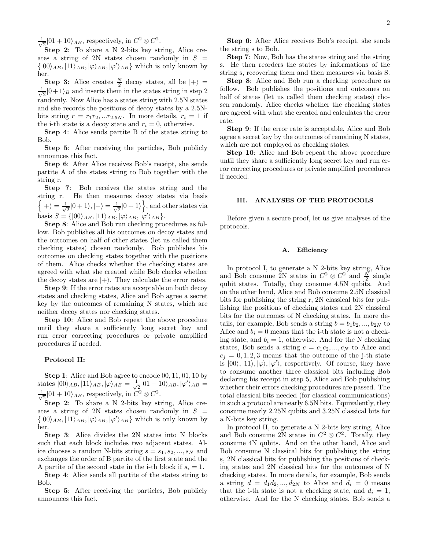$\frac{1}{\sqrt{2}}$  $\frac{1}{2}$ |01 + 10 $\rangle_{AB}$ , respectively, in  $C^2 \otimes C^2$ .

Step 2: To share a N 2-bits key string, Alice creates a string of 2N states chosen randomly in  $S =$  $\{ |00\rangle_{AB}, |11\rangle_{AB}, |\varphi\rangle_{AB}, |\varphi'\rangle_{AB} \}$  which is only known by her.

**Step 3:** Alice creates  $\frac{N}{2}$  decoy states, all be  $|+\rangle$  = √ 1  $\frac{1}{2}|0+1\rangle_B$  and inserts them in the states string in step 2 randomly. Now Alice has a states string with 2.5N states and she records the positions of decoy states by a 2.5Nbits string  $r = r_1 r_2, ... r_{2.5N}$ . In more details,  $r_i = 1$  if the i-th state is a decoy state and  $r_i = 0$ , otherwise.

Step 4: Alice sends partite B of the states string to Bob.

Step 5: After receiving the particles, Bob publicly announces this fact.

Step 6: After Alice receives Bob's receipt, she sends partite A of the states string to Bob together with the string r.

Step 7: Bob receives the states string and the string r. He then measures decoy states via basis  $\Big\{\ket{+}=\frac{1}{\sqrt{2}}$  $\frac{1}{2}|0+1\rangle, |-\rangle = \frac{1}{\sqrt{2}}$  $\frac{1}{2}|0+1\rangle$ , and other states via basis  $S = \{ |00\rangle_{AB}, |11\rangle_{AB}, |\varphi\rangle_{AB}, |\varphi'\rangle_{AB} \}.$ 

Step 8: Alice and Bob run checking procedures as follow. Bob publishes all his outcomes on decoy states and the outcomes on half of other states (let us called them checking states) chosen randomly. Bob publishes his outcomes on checking states together with the positions of them. Alice checks whether the checking states are agreed with what she created while Bob checks whether the decoy states are  $|+\rangle$ . They calculate the error rates.

Step 9: If the error rates are acceptable on both decoy states and checking states, Alice and Bob agree a secret key by the outcomes of remaining N states, which are neither decoy states nor checking states.

Step 10: Alice and Bob repeat the above procedure until they share a sufficiently long secret key and run error correcting procedures or private amplified procedures if needed.

### Protocol II:

Step 1: Alice and Bob agree to encode 00, 11, 01, 10 by states  $|00\rangle_{AB}, |11\rangle_{AB}, |\varphi\rangle_{AB} = \frac{1}{\sqrt{3}}$  $\frac{1}{2} |01 - 10\rangle_{AB}, |\varphi'\rangle_{AB} =$ √ 1  $\frac{1}{2}$ |01 + 10)<sub>AB</sub>, respectively, in  $\overline{C^2} \otimes C^2$ .

Step 2: To share a N 2-bits key string, Alice creates a string of 2N states chosen randomly in  $S =$  $\{ |00\rangle_{AB}, |11\rangle_{AB}, |\varphi\rangle_{AB}, |\varphi'\rangle_{AB} \}$  which is only known by her.

Step 3: Alice divides the 2N states into N blocks such that each block includes two adjacent states. Alice chooses a random N-bits string  $s = s_1, s_2, ..., s_N$  and exchanges the order of B partite of the first state and the A partite of the second state in the i-th block if  $s_i = 1$ .

Step 4: Alice sends all partite of the states string to Bob.

Step 5: After receiving the particles, Bob publicly announces this fact.

Step 6: After Alice receives Bob's receipt, she sends the string s to Bob.

Step 7: Now, Bob has the states string and the string s. He then reorders the states by informations of the string s, recovering them and then measures via basis S.

Step 8: Alice and Bob run a checking procedure as follow. Bob publishes the positions and outcomes on half of states (let us called them checking states) chosen randomly. Alice checks whether the checking states are agreed with what she created and calculates the error rate.

Step 9: If the error rate is acceptable, Alice and Bob agree a secret key by the outcomes of remaining N states, which are not employed as checking states.

Step 10: Alice and Bob repeat the above procedure until they share a sufficiently long secret key and run error correcting procedures or private amplified procedures if needed.

## III. ANALYSES OF THE PROTOCOLS

Before given a secure proof, let us give analyses of the protocols.

#### A. Efficiency

In protocol I, to generate a N 2-bits key string, Alice and Bob consume 2N states in  $C^2 \otimes C^2$  and  $\frac{N}{2}$  single qubit states. Totally, they consume 4.5N qubits. And on the other hand, Alice and Bob consume 2.5N classical bits for publishing the string r, 2N classical bits for publishing the positions of checking states and 2N classical bits for the outcomes of N checking states. In more details, for example, Bob sends a string  $b = b_1b_2, ..., b_{2N}$  to Alice and  $b_i = 0$  means that the i-th state is not a checking state, and  $b_i = 1$ , otherwise. And for the N checking states, Bob sends a string  $c = c_1c_2, ..., c_N$  to Alice and  $c_j = 0, 1, 2, 3$  means that the outcome of the j-th state is  $|00\rangle, |11\rangle, |\varphi\rangle, |\varphi'\rangle$ , respectively. Of course, they have to consume another three classical bits including Bob declaring his receipt in step 5, Alice and Bob publishing whether their errors checking procedures are passed. The total classical bits needed (for classical communications) in such a protocol are nearly 6.5N bits. Equivalently, they consume nearly 2.25N qubits and 3.25N classical bits for a N-bits key string.

In protocol II, to generate a N 2-bits key string, Alice and Bob consume 2N states in  $C^2 \otimes C^2$ . Totally, they consume 4N qubits. And on the other hand, Alice and Bob consume N classical bits for publishing the string s, 2N classical bits for publishing the positions of checking states and 2N classical bits for the outcomes of N checking states. In more details, for example, Bob sends a string  $d = d_1 d_2, ..., d_{2N}$  to Alice and  $d_i = 0$  means that the i-th state is not a checking state, and  $d_i = 1$ , otherwise. And for the N checking states, Bob sends a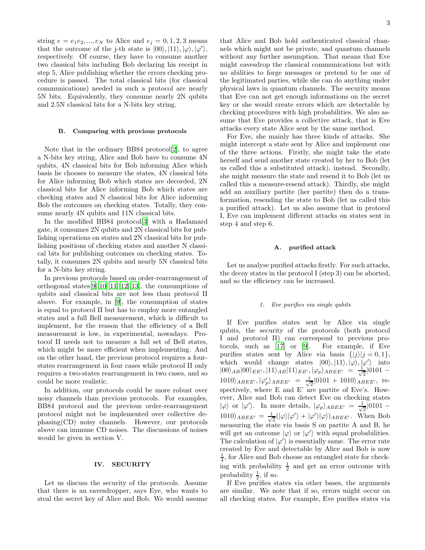string  $e = e_1 e_2, ..., e_N$  to Alice and  $e_j = 0, 1, 2, 3$  means that the outcome of the j-th state is  $|00\rangle, |11\rangle, |\varphi\rangle, |\varphi'\rangle,$ respectively. Of course, they have to consume another two classical bits including Bob declaring his receipt in step 5, Alice publishing whether the errors checking procedure is passed. The total classical bits (for classical communications) needed in such a protocol are nearly 5N bits. Equivalently, they consume nearly 2N qubits and 2.5N classical bits for a N-bits key string.

#### B. Comparing with provious protocols

Note that in the ordinary BB84 protocol[\[2\]](#page-7-1), to agree a N-bits key string, Alice and Bob have to consume 4N qubits, 4N classical bits for Bob informing Alice which basis he chooses to measure the states, 4N classical bits for Alice informing Bob which states are decorded, 2N classical bits for Alice informing Bob which states are checking states and N classical bits for Alice informing Bob the outcomes on checking states. Totally, they consume nearly 4N qubits and 11N classical bits.

In the modified BB84 protocol[\[3\]](#page-7-2) with a Hadamard gate, it consumes 2N qubits and 2N classical bits for publishing operations on states and 2N classical bits for publishing positions of checking states and another N classical bits for publishing outcomes on checking states. Totally, it consumes 2N qubits and nearly 5N classical bits for a N-bits key string.

In previous protocols based on order-rearrangement of orthogonal states $[9][10][11][12][13]$  $[9][10][11][12][13]$  $[9][10][11][12][13]$  $[9][10][11][12][13]$  $[9][10][11][12][13]$ , the consumptions of qubits and classical bits are not less than protocol II above. For example, in [\[9\]](#page-7-8), the consumption of states is equal to protocol II but has to employ more entangled states and a full Bell measurement, which is difficult to implement, for the reason that the efficiency of a Bell measurement is low, in experimental, nowadays. Protocol II needs not to measure a full set of Bell states, which might be more efficient when implementing. And on the other hand, the previous protocol requires a fourstates rearrangement in four cases while protocol II only requires a two-states rearrangement in two cases, and so could be more realistic.

In addition, our protocols could be more robust over noisy channels than previous protocols. For examples, BB84 protocol and the previous order-rearrangement protocol might not be implemented over collective dephasing(CD) noisy channels. However, our protocols above can immune CD noises. The discussions of noises would be given in section V.

### IV. SECURITY

Let us discuss the security of the protocols. Assume that there is an eavesdropper, says Eye, who wants to steal the secret key of Alice and Bob. We would assume 3

that Alice and Bob hold authenticated classical channels which might not be private, and quantum channels without any further assumption. That means that Eve might eavesdrop the classical communications but with no abilities to forge messages or pretend to be one of the legitimated parties, while she can do anything under physical laws in quantum channels. The security means that Eve can not get enough informations on the secret key or she would create errors which are detectable by checking procedures with high probabilities. We also assume that Eve provides a collective attack, that is Eve attacks every state Alice sent by the same method.

For Eve, she mainly has three kinds of attacks. She might intercept a state sent by Alice and implement one of the three actions. Firstly, she might take the state herself and send another state created by her to Bob (let us called this a substituted attack), instead. Secondly, she might measure the state and resend it to Bob (let us called this a measure-resend attack). Thirdly, she might add an auxiliary partite (her partite) then do a transformation, resending the state to Bob (let us called this a purified attack). Let us also assume that in protocol I, Eve can implement different attacks on states sent in step 4 and step 6.

### A. purified attack

Let us analyse purified attacks firstly. For such attacks, the decoy states in the protocol I (step 3) can be aborted, and so the efficiency can be increased.

## 1. Eve purifies via single qubits

If Eve purifies states sent by Alice via single qubits, the security of the protocols (both protocol I and protocol II) can correspond to previous protocols, such as [\[17\]](#page-8-4) or [\[9\]](#page-7-8). For example, if Eve purifies states sent by Alice via basis  $\{|j\rangle|j=0,1\},\$ which would change states  $|00\rangle, |11\rangle, |\varphi\rangle, |\varphi'\rangle$  into  $|00\rangle_{AB}|00\rangle_{EE'} , |11\rangle_{AB}|11\rangle_{EE'}, |\varphi_p\rangle_{ABEE'} = \frac{1}{\sqrt{2}}$  $\frac{1}{2}|0101 1010\rangle_{ABEE'}, |\varphi'_p\rangle_{ABEE'} = \frac{1}{\sqrt{2}}$  $\frac{1}{2}$ |0101 + 1010 $\rangle_{ABEE'}$ , respectively, where E and E' are partite of Eve's. However, Alice and Bob can detect Eve on checking states  $|\varphi\rangle$  or  $|\varphi'\rangle$ . In more details,  $|\varphi_p\rangle_{ABEE'} = \frac{1}{\sqrt{2}}$  $\frac{1}{2}|0101 1010\rangle_{ABEE'} = \frac{1}{\sqrt{2}}$  $\frac{1}{2}(|\varphi\rangle|\varphi'\rangle + |\varphi'\rangle|\varphi\rangle)_{ABEE'}$ . When Bob measuring the state via basis S on partite A and B, he will get an outcome  $|\varphi\rangle$  or  $|\varphi'\rangle$  with equal probabilities. The calculation of  $|\varphi'\rangle$  is essentially same. The error rate created by Eve and detectable by Alice and Bob is now  $\frac{1}{4}$ , for Alice and Bob choose an entangled state for checking with probability  $\frac{1}{2}$  and get an error outcome with probability  $\frac{1}{2}$ , if so.

If Eve purifies states via other bases, the arguments are similar. We note that if so, errors might occur on all checking states. For example, Eve purifies states via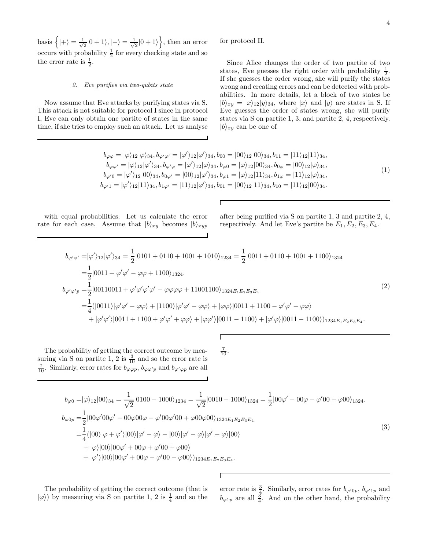basis  $\Big\{ |+\rangle = \frac{1}{\sqrt{2}}$  $\frac{1}{2}|0+1\rangle, |-\rangle = \frac{1}{\sqrt{2}}$  $\frac{1}{2}|0+1\rangle$ , then an error occurs with probability  $\frac{1}{2}$  for every checking state and so the error rate is  $\frac{1}{2}$ .

### 2. Eve purifies via two-qubits state

Now assume that Eve attacks by purifying states via S. This attack is not suitable for protocol I since in protocol I, Eve can only obtain one partite of states in the same time, if she tries to employ such an attack. Let us analyse

for protocol II.

Since Alice changes the order of two partite of two states, Eve guesses the right order with probability  $\frac{1}{2}$ . If she guesses the order wrong, she will purify the states wrong and creating errors and can be detected with probabilities. In more details, let a block of two states be  $|b\rangle_{xy} = |x\rangle_{12}|y\rangle_{34}$ , where  $|x\rangle$  and  $|y\rangle$  are states in S. If Eve guesses the order of states wrong, she will purify states via S on partite 1, 3, and partite 2, 4, respectively.  $|b\rangle_{xy}$  can be one of

$$
b_{\varphi\varphi} = |\varphi\rangle_{12}|\varphi\rangle_{34}, b_{\varphi'\varphi'} = |\varphi'\rangle_{12}|\varphi'\rangle_{34}, b_{00} = |00\rangle_{12}|00\rangle_{34}, b_{11} = |11\rangle_{12}|11\rangle_{34}, \n b_{\varphi\varphi'} = |\varphi\rangle_{12}|\varphi'\rangle_{34}, b_{\varphi'\varphi} = |\varphi'\rangle_{12}|\varphi\rangle_{34}, b_{\varphi 0} = |\varphi\rangle_{12}|00\rangle_{34}, b_{0\varphi} = |00\rangle_{12}|\varphi\rangle_{34}, \n b_{\varphi'0} = |\varphi'\rangle_{12}|00\rangle_{34}, b_{0\varphi'} = |00\rangle_{12}|\varphi'\rangle_{34}, b_{\varphi 1} = |\varphi\rangle_{12}|11\rangle_{34}, b_{1\varphi} = |11\rangle_{12}|\varphi\rangle_{34}, \n b_{\varphi'1} = |\varphi'\rangle_{12}|11\rangle_{34}, b_{1\varphi'} = |11\rangle_{12}|\varphi'\rangle_{34}, b_{01} = |00\rangle_{12}|11\rangle_{34}, b_{10} = |11\rangle_{12}|00\rangle_{34}.
$$
\n
$$
(1)
$$

with equal probabilities. Let us calculate the error rate for each case. Assume that  $|b\rangle_{xy}$  becomes  $|b\rangle_{xyp}$ 

after being purified via S on partite 1, 3 and partite 2, 4, respectively. And let Eve's partite be  $E_1, E_2, E_3, E_4$ .

$$
b_{\varphi'\varphi'} = |\varphi'\rangle_{12}|\varphi'\rangle_{34} = \frac{1}{2}|0101 + 0110 + 1001 + 1010\rangle_{1234} = \frac{1}{2}|0011 + 0110 + 1001 + 1100\rangle_{1324}
$$
  
\n
$$
= \frac{1}{2}|0011 + \varphi'\varphi' - \varphi\varphi + 1100\rangle_{1324}.
$$
  
\n
$$
b_{\varphi'\varphi'p} = \frac{1}{2}|00110011 + \varphi'\varphi'\varphi' - \varphi\varphi\varphi\varphi + 11001100\rangle_{1324E_1E_2E_3E_4}
$$
  
\n
$$
= \frac{1}{4}(|0011\rangle|\varphi'\varphi' - \varphi\varphi\rangle + |1100\rangle|\varphi'\varphi' - \varphi\varphi\rangle + |\varphi\varphi\rangle|0011 + 1100 - \varphi'\varphi' - \varphi\varphi\rangle
$$
  
\n
$$
+ |\varphi'\varphi'\rangle|0011 + 1100 + \varphi'\varphi' + \varphi\varphi\rangle + |\varphi\varphi'\rangle|0011 - 1100\rangle + |\varphi'\varphi\rangle|0011 - 1100\rangle)_{1234E_1E_2E_3E_4}.
$$
  
\n(2)

The probability of getting the correct outcome by measuring via S on partite 1, 2 is  $\frac{3}{10}$  and so the error rate is  $\frac{7}{10}$ . Similarly, error rates for  $b_{\varphi \varphi p}$ ,  $b_{\varphi \varphi' p}$  and  $b_{\varphi' \varphi p}$  are all

$$
\frac{7}{10}.
$$

$$
b_{\varphi 0} = |\varphi\rangle_{12}|00\rangle_{34} = \frac{1}{\sqrt{2}}|0100 - 1000\rangle_{1234} = \frac{1}{\sqrt{2}}|0010 - 1000\rangle_{1324} = \frac{1}{2}|00\varphi' - 00\varphi - \varphi'00 + \varphi 00\rangle_{1324}.
$$
  
\n
$$
b_{\varphi 0p} = \frac{1}{2}|00\varphi'00\varphi' - 00\varphi 00\varphi - \varphi'00\varphi'00 + \varphi 00\varphi 00\rangle_{1324E_1E_2E_3E_4}
$$
  
\n
$$
= \frac{1}{4}(|00\rangle|\varphi + \varphi'\rangle|00\rangle|\varphi' - \varphi\rangle - |00\rangle|\varphi' - \varphi\rangle|\varphi' - \varphi\rangle|00\rangle
$$
  
\n
$$
+ |\varphi\rangle|00\rangle|00\varphi' + 00\varphi + \varphi'00 + \varphi 00\rangle
$$
  
\n
$$
+ |\varphi'\rangle|00\rangle|00\varphi' + 00\varphi - \varphi'00 - \varphi 00\rangle)_{1234E_1E_2E_3E_4}.
$$
  
\n(3)

Г

The probability of getting the correct outcome (that is  $|\varphi\rangle$ ) by measuring via S on partite 1, 2 is  $\frac{1}{4}$  and so the

error rate is  $\frac{3}{4}$ . Similarly, error rates for  $b_{\varphi'(0p)}$ ,  $b_{\varphi'1p}$  and  $b_{\varphi 1p}$  are all  $\frac{3}{4}$ . And on the other hand, the probability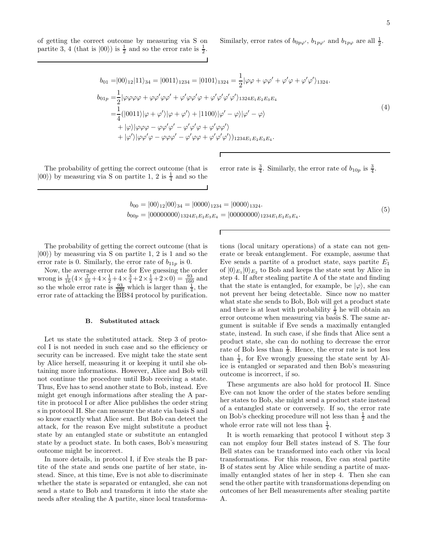of getting the correct outcome by measuring via S on partite 3, 4 (that is  $|00\rangle$ ) is  $\frac{1}{2}$  and so the error rate is  $\frac{1}{2}$ .

Similarly, error rates of 
$$
b_{0p\varphi'}
$$
,  $b_{1p\varphi'}$  and  $b_{1p\varphi}$  are all  $\frac{1}{2}$ .

$$
b_{01} = |00\rangle_{12}|11\rangle_{34} = |0011\rangle_{1234} = |0101\rangle_{1324} = \frac{1}{2}|\varphi\varphi + \varphi\varphi' + \varphi'\varphi + \varphi'\varphi'\rangle_{1324}.
$$
  
\n
$$
b_{01p} = \frac{1}{2}|\varphi\varphi\varphi\varphi + \varphi\varphi'\varphi\varphi' + \varphi'\varphi\varphi'\varphi' + \varphi'\varphi'\varphi'\rangle_{1324E_1E_2E_3E_4}
$$
  
\n
$$
= \frac{1}{4}(|0011\rangle|\varphi + \varphi'\rangle|\varphi + \varphi'\rangle + |1100\rangle|\varphi' - \varphi\rangle|\varphi' - \varphi\rangle
$$
  
\n
$$
+ |\varphi\rangle|\varphi\varphi\varphi - \varphi\varphi'\varphi' - \varphi'\varphi'\varphi + \varphi'\varphi\varphi'\rangle
$$
  
\n
$$
+ |\varphi'\rangle|\varphi\varphi'\varphi - \varphi\varphi\varphi' - \varphi'\varphi\varphi + \varphi'\varphi'\varphi'\rangle)_{1234E_1E_2E_3E_4}.
$$
  
\n(4)

The probability of getting the correct outcome (that is  $|00\rangle$ ) by measuring via S on partite 1, 2 is  $\frac{1}{4}$  and so the error rate is  $\frac{3}{4}$ . Similarly, the error rate of  $b_{10p}$  is  $\frac{3}{4}$ .

$$
b_{00} = |00\rangle_{12}|00\rangle_{34} = |0000\rangle_{1234} = |0000\rangle_{1324}.
$$
  
\n
$$
b_{00p} = |00000000\rangle_{1324E_1E_2E_3E_4} = |00000000\rangle_{1234E_1E_2E_3E_4}.
$$
\n(5)

Г

The probability of getting the correct outcome (that is  $|00\rangle$ ) by measuring via S on partite 1, 2 is 1 and so the error rate is 0. Similarly, the error rate of  $b_{11p}$  is 0.

Now, the average error rate for Eve guessing the order wrong is  $\frac{1}{16}$  ( $4 \times \frac{7}{10}$  +  $4 \times \frac{1}{2}$  +  $4 \times \frac{3}{4}$  +  $2 \times \frac{1}{2}$  +  $2 \times 0$ ) =  $\frac{93}{160}$  and so the whole error rate is  $\frac{93}{320}$  which is larger than  $\frac{1}{4}$ , the error rate of attacking the  $\overline{B}B84$  protocol by purification.

# B. Substituted attack

Let us state the substituted attack. Step 3 of protocol I is not needed in such case and so the efficiency or security can be increased. Eve might take the state sent by Alice herself, measuring it or keeping it until she obtaining more informations. However, Alice and Bob will not continue the procedure until Bob receiving a state. Thus, Eve has to send another state to Bob, instead. Eve might get enough informations after stealing the A partite in protocol I or after Alice publishes the order string s in protocol II. She can measure the state via basis S and so know exactly what Alice sent. But Bob can detect the attack, for the reason Eve might substitute a product state by an entangled state or substitute an entangled state by a product state. In both cases, Bob's measuring outcome might be incorrect.

In more details, in protocol I, if Eve steals the B partite of the state and sends one partite of her state, instead. Since, at this time, Eve is not able to discriminate whether the state is separated or entangled, she can not send a state to Bob and transform it into the state she needs after stealing the A partite, since local transformations (local unitary operations) of a state can not generate or break entanglement. For example, assume that Eve sends a partite of a product state, says partite  $E_1$ of  $|0\rangle_{E_1}|0\rangle_{E_2}$  to Bob and keeps the state sent by Alice in step 4. If after stealing partite A of the state and finding that the state is entangled, for example, be  $|\varphi\rangle$ , she can not prevent her being detectable. Since now no matter what state she sends to Bob, Bob will get a product state and there is at least with probability  $\frac{1}{2}$  he will obtain an error outcome when measuring via basis S. The same argument is suitable if Eve sends a maximally entangled state, instead. In such case, if she finds that Alice sent a product state, she can do nothing to decrease the error rate of Bob less than  $\frac{1}{2}$ . Hence, the error rate is not less than  $\frac{1}{4}$ , for Eve wrongly guessing the state sent by Alice is entangled or separated and then Bob's measuring outcome is incorrect, if so.

These arguments are also hold for protocol II. Since Eve can not know the order of the states before sending her states to Bob, she might send a product state instead of a entangled state or conversely. If so, the error rate on Bob's checking procedure will not less than  $\frac{1}{2}$  and the whole error rate will not less than  $\frac{1}{4}$ .

It is worth remarking that protocol I without step 3 can not employ four Bell states instead of S. The four Bell states can be transformed into each other via local transformations. For this reason, Eve can steal partite B of states sent by Alice while sending a partite of maximally entangled states of her in step 4. Then she can send the other partite with transformations depending on outcomes of her Bell measurements after stealing partite A.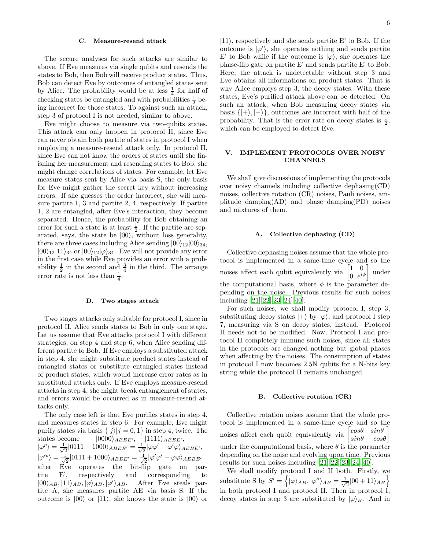#### C. Measure-resend attack

The secure analyses for such attacks are similar to above. If Eve measures via single qubits and resends the states to Bob, then Bob will receive product states. Thus, Bob can detect Eve by outcomes of entangled states sent by Alice. The probability would be at less  $\frac{1}{4}$  for half of checking states be entangled and with probabilities  $\frac{1}{2}$  being incorrect for those states. To against such an attack, step 3 of protocol I is not needed, similar to above.

Eve might choose to measure via two-qubits states. This attack can only happen in protocol II, since Eve can never obtain both partite of states in protocol I when employing a measure-resend attack only. In protocol II, since Eve can not know the orders of states until she finishing her measurement and resending states to Bob, she might change correlations of states. For example, let Eve measure states sent by Alice via basis S, the only basis for Eve might gather the secret key without increasing errors. If she guesses the order incorrect, she will measure partite 1, 3 and partite 2, 4, respectively. If partite 1, 2 are entangled, after Eve's interaction, they become separated. Hence, the probability for Bob obtaining an error for such a state is at least  $\frac{1}{2}$ . If the partite are separated, says, the state be  $|00\rangle$ , without loss generality, there are three cases including Alice sending  $|00\rangle_{12}|00\rangle_{34}$ ,  $|00\rangle_{12}|11\rangle_{34}$  or  $|00\rangle_{12}|\varphi\rangle_{34}$ . Eve will not provide any error in the first case while Eve provides an error with a probability  $\frac{1}{2}$  in the second and  $\frac{3}{4}$  in the third. The arrange error rate is not less than  $\frac{1}{4}$ .

### D. Two stages attack

Two stages attacks only suitable for protocol I, since in protocol II, Alice sends states to Bob in only one stage. Let us assume that Eve attacks protocol I with different strategies, on step 4 and step 6, when Alice sending different partite to Bob. If Eve employs a substituted attack in step 4, she might substitute product states instead of entangled states or substitute entangled states instead of product states, which would increase error rates as in substituted attacks only. If Eve employs measure-resend attacks in step 4, she might break entanglement of states, and errors would be occurred as in measure-resend attacks only.

The only case left is that Eve purifies states in step 4, and measures states in step 6. For example, Eve might purify states via basis  $\{|j\rangle |j = 0, 1\}$  in step 4, twice. The states become  $|0000\rangle_{ABEE'}$ ,  $|1111\rangle_{ABEE'}$ ,  $|\varphi^p\rangle = \frac{1}{\sqrt{2}}$  $\frac{1}{2} |0111 - 1000\rangle_{ABEE'} = \frac{1}{\sqrt{2}}$  $\frac{1}{2}|\varphi\varphi'-\varphi'\varphi\rangle_{AEBE'},$  $|\varphi'^p\rangle = \frac{1}{\sqrt{2}}$  $\frac{1}{2} |0111 + 1000\rangle_{ABEE'} = \frac{1}{\sqrt{2}}$  $\frac{1}{2}|\varphi' \varphi' - \varphi \varphi\rangle_{AEBE'}$ after Eve operates the bit-flip gate on partite E', respectively and corresponding to  $|00\rangle_{AB}, |11\rangle_{AB}, |\varphi\rangle_{AB}, |\varphi\rangle$ After Eve steals partite A, she measures partite AE via basis S. If the outcome is  $|00\rangle$  or  $|11\rangle$ , she knows the state is  $|00\rangle$  or

 $|11\rangle$ , respectively and she sends partite E' to Bob. If the outcome is  $|\varphi'\rangle$ , she operates nothing and sends partite E' to Bob while if the outcome is  $|\varphi\rangle$ , she operates the phase-flip gate on partite E' and sends partite E' to Bob. Here, the attack is undetectable without step 3 and Eve obtains all informations on product states. That is why Alice employs step 3, the decoy states. With these states, Eve's purified attack above can be detected. On such an attack, when Bob measuring decoy states via basis  $\{|+\rangle, |-\rangle\}$ , outcomes are incorrect with half of the probability. That is the error rate on decoy states is  $\frac{1}{2}$ , which can be employed to detect Eve.

## V. IMPLEMENT PROTOCOLS OVER NOISY CHANNELS

We shall give discussions of implementing the protocols over noisy channels including collective dephasing(CD) noises, collective rotation (CR) noises, Pauli noises, amplitude damping(AD) and phase damping(PD) noises and mixtures of them.

#### A. Collective dephasing (CD)

Collective dephasing noises assume that the whole protocol is implemented in a same-time cycle and so the noises affect each qubit equivalently via  $\begin{bmatrix} 1 & 0 \\ 0 & e^{it} \end{bmatrix}$  $\begin{bmatrix} 1 & 0 \\ 0 & e^{i\phi} \end{bmatrix}$ under the computational basis, where  $\phi$  is the parameter depending on the noise. Previous results for such noises including [\[21\]](#page-8-8)[\[22\]](#page-8-9)[\[23\]](#page-8-10)[\[24\]](#page-8-11)[\[40\]](#page-8-27).

For such noises, we shall modify protocol I, step 3, substituting decoy states  $|+\rangle$  by  $|\varphi\rangle$ , and protocol I step 7, measuring via S on decoy states, instead. Protocol II needs not to be modified. Now, Protocol I and protocol II completely immune such noises, since all states in the protocols are changed nothing but global phases when affecting by the noises. The consumption of states in protocol I now becomes 2.5N qubits for a N-bits key string while the protocol II remains unchanged.

#### B. Collective rotation (CR)

Collective rotation noises assume that the whole protocol is implemented in a same-time cycle and so the noises affect each qubit equivalently via  $cos\theta$   $sin\theta$  $sin\theta$  – $cos\theta$ under the computational basis, where  $\theta$  is the parameter depending on the noise and evolving upon time. Previous results for such noises including [\[21](#page-8-8)][\[22\]](#page-8-9)[\[23](#page-8-10)][\[24\]](#page-8-11)[\[40](#page-8-27)].

We shall modify protocol I and II both. Firstly, we substitute S by  $S' = \left\{ |\varphi\rangle_{AB}, |\varphi''\rangle_{AB} = \frac{1}{\sqrt{\pi}} \right\}$  $\frac{1}{2} |00 + 11\rangle_{AB}$ in both protocol I and protocol II. Then in protocol I, decoy states in step 3 are substituted by  $|\varphi\rangle_B$ . And in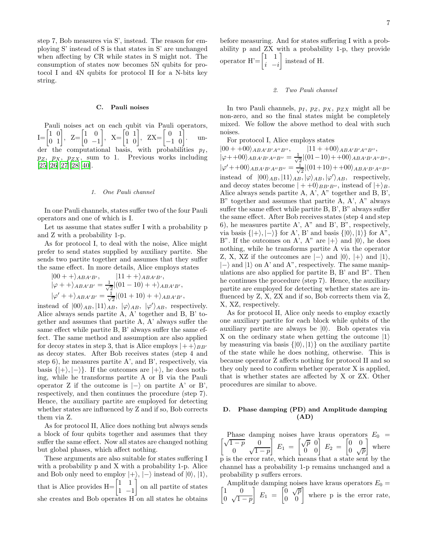step 7, Bob measures via S', instead. The reason for employing S' instead of S is that states in S' are unchanged when affecting by CR while states in S might not. The consumption of states now becomes 5N qubits for protocol I and 4N qubits for protocol II for a N-bits key string.

## C. Pauli noises

Pauli noises act on each qubit via Pauli operators,  $I = \begin{bmatrix} 1 & 0 \\ 0 & 1 \end{bmatrix}, Z = \begin{bmatrix} 1 & 0 \\ 0 & -1 \end{bmatrix}$  $0 -1$  $\begin{bmatrix} 0 & 1 \\ 1 & 0 \end{bmatrix}$ , ZX= $\begin{bmatrix} 0 & 1 \\ -1 & 0 \end{bmatrix}$ . under the computational basis, with probabilities  $p_I$ ,  $p_Z$ ,  $p_X$ ,  $p_{ZX}$ , sum to 1. Previous works including  $[25][26][27][28][40].$  $[25][26][27][28][40].$  $[25][26][27][28][40].$  $[25][26][27][28][40].$  $[25][26][27][28][40].$  $[25][26][27][28][40].$  $[25][26][27][28][40].$  $[25][26][27][28][40].$ 

### 1. One Pauli channel

In one Pauli channels, states suffer two of the four Pauli operators and one of which is I.

Let us assume that states suffer I with a probability p and Z with a probability 1-p.

As for protocol I, to deal with the noise, Alice might prefer to send states supplied by auxiliary partite. She sends two partite together and assumes that they suffer the same effect. In more details, Alice employs states

$$
|00 + \rangle_{ABA'B'}, \qquad |11 + \rangle_{ABA'B'},
$$
  
\n
$$
|\varphi + \rangle_{ABA'B'} = \frac{1}{\sqrt{2}}|(01 - 10) + \rangle_{ABA'B'},
$$
  
\n
$$
|\varphi' + \rangle_{ABA'B'} = \frac{1}{\sqrt{2}}|(01 + 10) + \rangle_{ABA'B'},
$$

instead of  $|00\rangle_{AB}$ ,  $|11\rangle_{AB}$ ,  $|\varphi\rangle_{AB}$ ,  $|\varphi'\rangle_{AB}$ , respectively. Alice always sends partite A, A' together and B, B' together and assumes that partite A, A' always suffer the same effect while partite B, B' always suffer the same effect. The same method and assumption are also applied for decoy states in step 3, that is Alice employs  $|++\rangle_{BB'}$ as decoy states. After Bob receives states (step 4 and step 6), he measures partite A', and B', respectively, via basis  $\{|+\rangle, |-\rangle\}$ . If the outcomes are  $|+\rangle$ , he does nothing, while he transforms partite A or B via the Pauli operator Z if the outcome is  $|-\rangle$  on partite A' or B', respectively, and then continues the procedure (step 7). Hence, the auxiliary partite are employed for detecting whether states are influenced by Z and if so, Bob corrects them via Z.

As for protocol II, Alice does nothing but always sends a block of four qubits together and assumes that they suffer the same effect. Now all states are changed nothing but global phases, which affect nothing.

These arguments are also suitable for states suffering I with a probability p and X with a probability 1-p. Alice and Bob only need to employ  $|+\rangle$ ,  $|-\rangle$  instead of  $|0\rangle$ ,  $|1\rangle$ , that is Alice provides  $H = \begin{bmatrix} 1 & 1 \\ 1 & 1 \end{bmatrix}$  $1 -1$  on all partite of states she creates and Bob operates H on all states he obtains

before measuring. And for states suffering I with a probability p and ZX with a probability 1-p, they provide operator  $H' = \begin{bmatrix} 1 & 1 \\ 1 & 1 \end{bmatrix}$  $i - i$ instead of H.

#### 2. Two Pauli channel

In two Pauli channels,  $p_I$ ,  $p_Z$ ,  $p_X$ ,  $p_{ZX}$  might all be non-zero, and so the final states might be completely mixed. We follow the above method to deal with such noises.

For protocol I, Alice employs states

 $|00 + +00\rangle_{ABA'B'A''B''},$   $|11 + +00\rangle_{ABA'B'A''B''},$  $|\varphi+{+}00\rangle_{ABA'B'A''B''}=\frac{1}{\sqrt{2}}$  $\frac{1}{2} |(01-10)+00\rangle_{ABA'B'A''B''},$  $|\varphi'++00\rangle_{ABA'B'A''B''}=\frac{1}{\sqrt{2}}$  $\frac{1}{2} |(01+10)+00\rangle_{ABA'B'A''B''}$ instead of  $|00\rangle_{AB}$ ,  $|11\rangle_{AB}$ ,  $|\varphi\rangle_{AB}$ ,  $|\varphi'\rangle_{AB}$ , respectively, and decoy states become  $| + +0\rangle_{BB'B''}$ , instead of  $| + \rangle_B$ . Alice always sends partite A, A', A" together and B, B', B" together and assumes that partite A, A', A" always suffer the same effect while partite B, B', B" always suffer the same effect. After Bob receives states (step 4 and step 6), he measures partite A', A" and B', B", respectively, via basis  $\{|+\rangle, |-\rangle\}$  for A', B' and basis  $\{|0\rangle, |1\rangle\}$  for A", B". If the outcomes on A', A" are  $|+\rangle$  and  $|0\rangle$ , he does nothing, while he transforms partite A via the operator Z, X, XZ if the outcomes are  $|-\rangle$  and  $|0\rangle$ ,  $|+\rangle$  and  $|1\rangle$ ,  $|-\rangle$  and  $|1\rangle$  on A' and A", respectively. The same manipulations are also applied for partite B, B' and B". Then he continues the procedure (step 7). Hence, the auxiliary partite are employed for detecting whether states are influenced by Z, X, ZX and if so, Bob corrects them via Z, X, XZ, respectively.

As for protocol II, Alice only needs to employ exactly one auxiliary partite for each block while qubits of the auxiliary partite are always be  $|0\rangle$ . Bob operates via X on the ordinary state when getting the outcome  $|1\rangle$ by measuring via basis  $\{|0\rangle, |1\rangle\}$  on the auxiliary partite of the state while he does nothing, otherwise. This is because operator Z affects nothing for protocol II and so they only need to confirm whether operator X is applied, that is whether states are affected by X or ZX. Other procedures are similar to above.

# D. Phase damping (PD) and Amplitude damping (AD)

Phase damping noises have kraus operators  $E_0 = \begin{bmatrix} \sqrt{1-p} & 0 \\ 0 & E_1 \end{bmatrix}$   $E_1 = \begin{bmatrix} \sqrt{p} & 0 \\ 0 & E_2 \end{bmatrix}$   $E_2 = \begin{bmatrix} 0 & 0 \\ 0 & E_2 \end{bmatrix}$  where  $\int_{1}^{p} \sqrt{1-p}$  $\left[\begin{array}{cc} E_1 \end{array}\right] = \left[\begin{array}{cc} \sqrt{p} & 0 \ 0 & 0 \end{array}\right] E_2 = \left[\begin{array}{cc} 0 & 0 \ 0 & \sqrt{p} \end{array}\right]$  $0 \sqrt{p}$ where p is the error rate, which means that a state sent by the channel has a probability 1-p remains unchanged and a probability p suffers errors.

f Amplitude damping noises have kraus operators  $E_0 =$ 1 0  $\overline{0}$   $\sqrt{1-p}$  $E_1 = \begin{bmatrix} 0 & \sqrt{p} \\ 0 & 0 \end{bmatrix}$  where p is the error rate,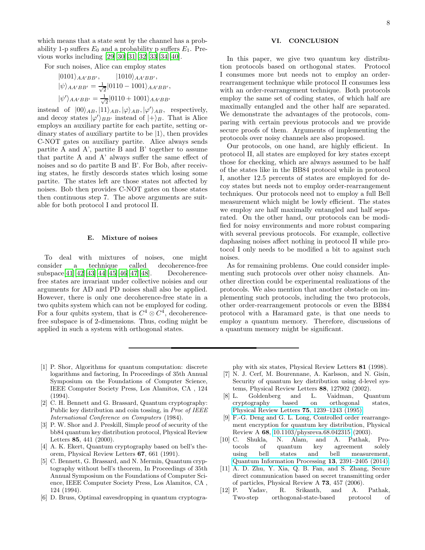For such noises, Alice can employ states

$$
|0101\rangle_{AA'BB'}, \qquad |1010\rangle_{AA'BB'},
$$
  
\n
$$
|\psi\rangle_{AA'BB'} = \frac{1}{\sqrt{2}}|0110 - 1001\rangle_{AA'BB'},
$$
  
\n
$$
|\psi'\rangle_{AA'BB'} = \frac{1}{\sqrt{2}}|0110 + 1001\rangle_{AA'BB'}
$$

instead of  $|00\rangle_{AB}$ ,  $|11\rangle_{AB}$ ,  $|\varphi\rangle_{AB}$ ,  $|\varphi'\rangle_{AB}$ , respectively, and decoy states  $|\varphi'\rangle_{BB'}$  instead of  $|+\rangle_B$ . That is Alice employs an auxiliary partite for each partite, setting ordinary states of auxiliary partite to be  $|1\rangle$ , then provides C-NOT gates on auxiliary partite. Alice always sends partite A and A', partite B and B' together to assume that partite A and A' always suffer the same effect of noises and so do partite B and B'. For Bob, after receiving states, he firstly descords states which losing some partite. The states left are those states not affected by noises. Bob then provides C-NOT gates on those states then continuous step 7. The above arguments are suitable for both protocol I and protocol II.

#### E. Mixture of noises

To deal with mixtures of noises, one might consider a technique called decoherence-free subspace[\[41\]](#page-8-28)[\[42\]](#page-8-29)[\[43](#page-8-30)][\[44\]](#page-8-31)[\[45](#page-9-0)][\[46\]](#page-9-1)[\[47\]](#page-9-2)[\[48\]](#page-9-3). Decoherencefree states are invariant under collective noisies and our arguments for AD and PD noises shall also be applied. However, there is only one decoherence-free state in a two qubits system which can not be employed for coding. For a four qubits system, that is  $C^4 \otimes C^4$ , decoherencefree subspace is of 2-dimensions. Thus, coding might be applied in such a system with orthogonal states.

## VI. CONCLUSION

In this paper, we give two quantum key distribution protocols based on orthogonal states. Protocol I consumes more but needs not to employ an orderrearrangement technique while protocol II consumes less with an order-rearrangement technique. Both protocols employ the same set of coding states, of which half are maximally entangled and the other half are separated. We demonstrate the advantages of the protocols, comparing with certain previous protocols and we provide secure proofs of them. Arguments of implementing the protocols over noisy channels are also proposed.

Our protocols, on one hand, are highly efficient. In protocol II, all states are employed for key states except those for checking, which are always assumed to be half of the states like in the BB84 protocol while in protocol I, another 12.5 percents of states are employed for decoy states but needs not to employ order-rearrangement techniques. Our protocols need not to employ a full Bell measurement which might be lowly efficient. The states we employ are half maximally entangled and half separated. On the other hand, our protocols can be modified for noisy environments and more robust comparing with several previous protocols. For example, collective daphasing noises affect nothing in protocol II while protocol I only needs to be modified a bit to against such noises.

As for remaining problems. One could consider implementing such protocols over other noisy channels. Another direction could be experimental realizations of the protocols. We also mention that another obstacle on implementing such protocols, including the two protocols, other order-rearrangement protocols or even the BB84 protocol with a Haramard gate, is that one needs to employ a quantum memory. Therefore, discussions of a quantum memory might be significant.

- <span id="page-7-0"></span>[1] P. Shor, Algorithms for quantum computation: discrete logarithms and factoring, In Proceedings of 35th Annual Symposium on the Foundations of Computer Science, IEEE Computer Society Press, Los Alamitos, CA , 124 (1994).
- <span id="page-7-1"></span>[2] C. H. Bennett and G. Brassard, Quantum cryptography: Public key distribution and coin tossing, in *Proc of IEEE* International Conference on Computers (1984).
- <span id="page-7-2"></span>[3] P. W. Shor and J. Preskill, Simple proof of security of the bb84 quantum key distribution protocol, Physical Review Letters 85, 441 (2000).
- <span id="page-7-3"></span>[4] A. K. Ekert, Quantum cryptography based on bell's theorem, Physical Review Letters 67, 661 (1991).
- <span id="page-7-4"></span>C. Bennett, G. Brassard, and N. Mermin, Quantum cryptography without bell's theorem, In Proceedings of 35th Annual Symposium on the Foundations of Computer Science, IEEE Computer Society Press, Los Alamitos, CA , 124 (1994).
- <span id="page-7-5"></span>[6] D. Bruss, Optimal eavesdropping in quantum cryptogra-

phy with six states, Physical Review Letters 81 (1998).

- <span id="page-7-6"></span>[7] N. J. Cerf, M. Bourennane, A. Karlsson, and N. Gisin, Security of quantum key distribution using d-level systems, Physical Review Letters 88, 127902 (2002).
- <span id="page-7-7"></span>[8] L. Goldenberg and L. Vaidman, Quantum cryptography based on orthogonal states, [Physical Review Letters](https://doi.org/10.1103/physrevlett.75.1239) 75, 1239–1243 (1995).
- <span id="page-7-8"></span>[9] F.-G. Deng and G. L. Long, Controlled order rearrangement encryption for quantum key distribution, Physical Review A 68, [10.1103/physreva.68.042315](https://doi.org/10.1103/physreva.68.042315) (2003).
- <span id="page-7-9"></span>[10] C. Shukla, N. Alam, and A. Pathak, Protocols of quantum key agreement solely using bell states and bell measurement, [Quantum Information Processing](https://doi.org/10.1007/s11128-014-0784-0) 13, 2391–2405 (2014).
- <span id="page-7-10"></span>[11] A. D. Zhu, Y. Xia, Q. B. Fan, and S. Zhang, Secure direct communication based on secret transmitting order of particles, Physical Review A 73, 457 (2006).
- <span id="page-7-11"></span>[12] P. Yadav, R. Srikanth, and A. Pathak, Two-step orthogonal-state-based protocol of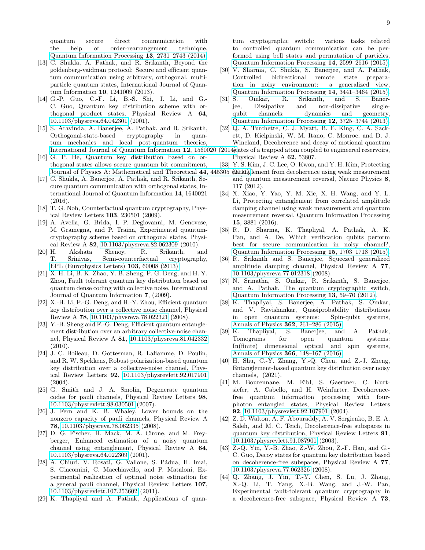quantum secure direct communication with the help of order-rearrangement technique, [Quantum Information Processing](https://doi.org/10.1007/s11128-014-0825-8) 13, 2731–2743 (2014).

- <span id="page-8-0"></span>[13] C. Shukla, A. Pathak, and R. Srikanth, Beyond the goldenberg-vaidman protocol: Secure and efficient quantum communication using arbitrary, orthogonal, multiparticle quantum states, International Journal of Quantum Information 10, 1241009 (2013).
- <span id="page-8-1"></span>[14] G.-P. Guo, C.-F. Li, B.-S. Shi, J. Li, and G.- C. Guo, Quantum key distribution scheme with orthogonal product states, Physical Review A 64, [10.1103/physreva.64.042301](https://doi.org/10.1103/physreva.64.042301) (2001).
- <span id="page-8-2"></span>[15] S. Aravinda, A. Banerjee, A. Pathak, and R. Srikanth, Orthogonal-state-based cryptography in quantum mechanics and local post-quantum theories, [International Journal of Quantum Information](https://doi.org/10.1142/s0219749915600205) 12, 1560020
- <span id="page-8-3"></span>[16] G. P. He, Quantum key distribution based on orthogonal states allows secure quantum bit commitment,
- <span id="page-8-4"></span>[17] C. Shukla, A. Banerjee, A. Pathak, and R. Srikanth, Secure quantum communication with orthogonal states, International Journal of Quantum Information 14, 1640021 (2016).
- <span id="page-8-5"></span>[18] T. G. Noh, Counterfactual quantum cryptography, Physical Review Letters 103, 230501 (2009).
- <span id="page-8-6"></span>[19] A. Avella, G. Brida, I. P. Degiovanni, M. Genovese, M. Gramegna, and P. Traina, Experimental quantumcryptography scheme based on orthogonal states, Physi-cal Review A 82, [10.1103/physreva.82.062309](https://doi.org/10.1103/physreva.82.062309) (2010).<br>[20] H. Akshata Shenoy, R. Srikanth, a
- <span id="page-8-7"></span>Akshata Shenoy, R. Srikanth, and<br>Srinivas. Semi-counterfactual cryptography. T. Srinivas, Semi-counterfactual cryptography, [EPL \(Europhysics Letters\)](https://doi.org/10.1209/0295-5075/103/60008) 103, 60008 (2013).
- <span id="page-8-8"></span>[21] X. H. Li, B. K. Zhao, Y. B. Sheng, F. G. Deng, and H. Y. Zhou, Fault tolerant quantum key distribution based on quantum dense coding with collective noise, International Journal of Quantum Information 7, (2009).
- <span id="page-8-9"></span>[22] X.-H. Li, F.-G. Deng, and H.-Y. Zhou, Efficient quantum key distribution over a collective noise channel, Physical Review A 78, [10.1103/physreva.78.022321](https://doi.org/10.1103/physreva.78.022321) (2008).
- <span id="page-8-10"></span>[23] Y.-B. Sheng and F.-G. Deng, Efficient quantum entanglement distribution over an arbitrary collective-noise channel, Physical Review A 81, [10.1103/physreva.81.042332](https://doi.org/10.1103/physreva.81.042332) (2010).
- <span id="page-8-27"></span><span id="page-8-11"></span>[24] J. C. Boileau, D. Gottesman, R. Laflamme, D. Poulin, and R. W. Spekkens, Robust polarization-based quantum key distribution over a collective-noise channel, Physical Review Letters 92, [10.1103/physrevlett.92.017901](https://doi.org/10.1103/physrevlett.92.017901)  $(2004).$
- <span id="page-8-28"></span><span id="page-8-12"></span>[25] G. Smith and J. A. Smolin, Degenerate quantum codes for pauli channels, Physical Review Letters 98, [10.1103/physrevlett.98.030501](https://doi.org/10.1103/physrevlett.98.030501) (2007).
- <span id="page-8-29"></span><span id="page-8-13"></span>[26] J. Fern and K. B. Whaley, Lower bounds on the nonzero capacity of pauli channels, Physical Review A 78, [10.1103/physreva.78.062335](https://doi.org/10.1103/physreva.78.062335) (2008).
- <span id="page-8-14"></span>[27] D. G. Fischer, H. Mack, M. A. Cirone, and M. Freyberger, Enhanced estimation of a noisy quantum channel using entanglement, Physical Review A 64, [10.1103/physreva.64.022309](https://doi.org/10.1103/physreva.64.022309) (2001).
- <span id="page-8-31"></span><span id="page-8-30"></span><span id="page-8-15"></span>[28] A. Chiuri, V. Rosati, G. Vallone, S. Pádua, H. Imai, S. Giacomini, C. Macchiavello, and P. Mataloni, Experimental realization of optimal noise estimation for a general pauli channel, Physical Review Letters 107, [10.1103/physrevlett.107.253602](https://doi.org/10.1103/physrevlett.107.253602) (2011).
- <span id="page-8-16"></span>[29] K. Thapliyal and A. Pathak, Applications of quan-

tum cryptographic switch: various tasks related to controlled quantum communication can be performed using bell states and permutation of particles, [Quantum Information Processing](https://doi.org/10.1007/s11128-015-0987-z) 14, 2599–2616 (2015).

- <span id="page-8-17"></span>[30] V. Sharma, C. Shukla, S. Banerjee, and A. Pathak, Controlled bidirectional remote state preparation in noisy environment: a generalized view, [Quantum Information Processing](https://doi.org/10.1007/s11128-015-1038-5) 14, 3441–3464 (2015).
- <span id="page-8-18"></span>[31] S. Omkar, R. Srikanth, and S. Banerjee, Dissipative and non-dissipative singlequbit channels: dynamics and geometry, [Quantum Information Processing](https://doi.org/10.1007/s11128-013-0628-3) 12, 3725–3744 (2013).
- <span id="page-8-19"></span>[32] Q. A. Turchette, C. J. Myatt, B. E. King, C. A. Sackett, D. Kielpinski, W. M. Itano, C. Monroe, and D. J. Wineland, Decoherence and decay of motional quantum
- $(2014)$ tates of a trapped atom coupled to engineered reservoirs, Physical Review A 62, 53807.
- <span id="page-8-26"></span><span id="page-8-25"></span><span id="page-8-24"></span><span id="page-8-23"></span><span id="page-8-22"></span><span id="page-8-21"></span><span id="page-8-20"></span>[33] Y. S. Kim, J. C. Lee, O. Kwon, and Y. H. Kim, Protecting
- [Journal of Physics A: Mathematical and Theoretical](https://doi.org/10.1088/1751-8113/44/44/445305) 44, 445305 (20thh)glement from decoherence using weak measurement and quantum measurement reversal, Nature Physics 8, 117 (2012).
	- [34] X. Xiao, Y. Yao, Y. M. Xie, X. H. Wang, and Y. L. Li, Protecting entanglement from correlated amplitude damping channel using weak measurement and quantum measurement reversal, Quantum Information Processing 15, 3881 (2016).
	- [35] R. D. Sharma, K. Thapliyal, A. Pathak, A. K. Pan, and A. De, Which verification qubits perform best for secure communication in noisy channel?, [Quantum Information Processing](https://doi.org/10.1007/s11128-015-1207-6) 15, 1703–1718 (2015).
	- [36] R. Srikanth and S. Banerjee, Squeezed generalized amplitude damping channel, Physical Review A 77, [10.1103/physreva.77.012318](https://doi.org/10.1103/physreva.77.012318) (2008).
	- [37] N. Srinatha, S. Omkar, R. Srikanth, S. Banerjee, and A. Pathak, The quantum cryptographic switch, [Quantum Information Processing](https://doi.org/10.1007/s11128-012-0487-3) 13, 59–70 (2012).
	- [38] K. Thapliyal, S. Banerjee, A. Pathak, S. Omkar, and V. Ravishankar, Quasiprobability distributions in open quantum systems: Spin-qubit systems, [Annals of Physics](https://doi.org/10.1016/j.aop.2015.07.029) 362, 261–286 (2015).
	- [39] K. Thapliyal, S. Banerjee, and A. Pathak, Tomograms for open quantum systems: In(finite) dimensional optical and spin systems, [Annals of Physics](https://doi.org/10.1016/j.aop.2016.01.010) 366, 148–167 (2016).
	- [40] H. Shu, C.-Y. Zhang, Y.-Q. Chen, and Z.-J. Zheng, Entanglement-based quantum key distribution over noisy channels, (2021).
	- [41] M. Bourennane, M. Eibl, S. Gaertner, C. Kurtsiefer, A. Cabello, and H. Weinfurter, Decoherencefree quantum information processing with fourphoton entangled states, Physical Review Letters 92, [10.1103/physrevlett.92.107901](https://doi.org/10.1103/physrevlett.92.107901) (2004).
	- [42] Z. D. Walton, A. F. Abouraddy, A. V. Sergienko, B. E. A. Saleh, and M. C. Teich, Decoherence-free subspaces in quantum key distribution, Physical Review Letters 91, [10.1103/physrevlett.91.087901](https://doi.org/10.1103/physrevlett.91.087901) (2003).
	- [43] Z.-Q. Yin, Y.-B. Zhao, Z.-W. Zhou, Z.-F. Han, and G.- C. Guo, Decoy states for quantum key distribution based on decoherence-free subspaces, Physical Review A 77, [10.1103/physreva.77.062326](https://doi.org/10.1103/physreva.77.062326) (2008).
	- [44] Q. Zhang, J. Yin, T.-Y. Chen, S. Lu, J. Zhang, X.-Q. Li, T. Yang, X.-B. Wang, and J.-W. Pan, Experimental fault-tolerant quantum cryptography in a decoherence-free subspace, Physical Review A 73,